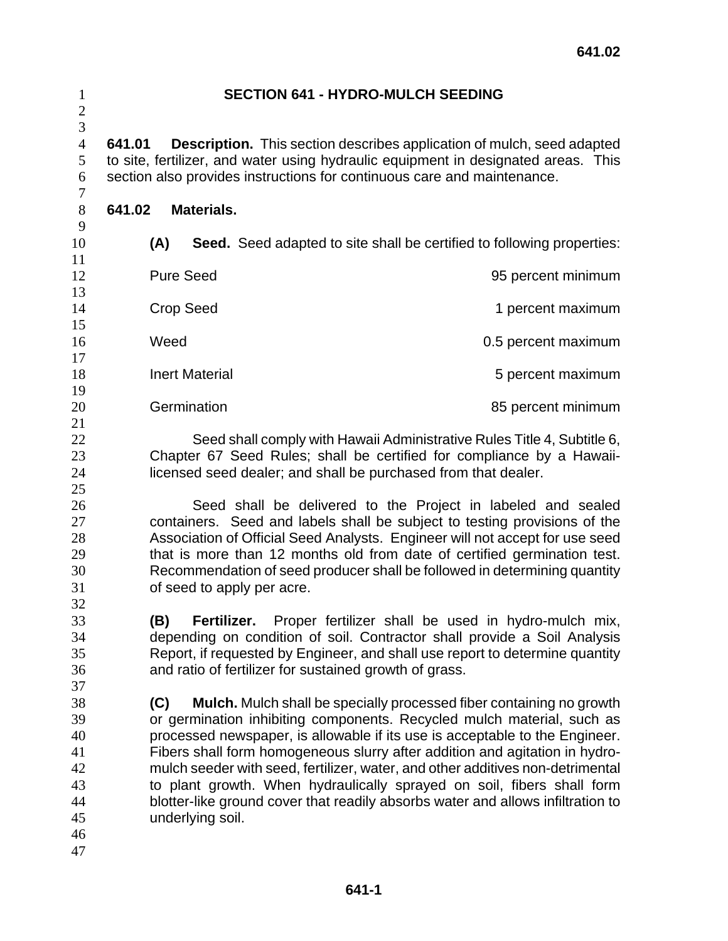| $\mathbf{1}$<br>$\overline{c}$<br>3                      | <b>SECTION 641 - HYDRO-MULCH SEEDING</b><br><b>Description.</b> This section describes application of mulch, seed adapted<br>641.01<br>to site, fertilizer, and water using hydraulic equipment in designated areas. This<br>section also provides instructions for continuous care and maintenance.                                                                                                                                                                                                                                                                                   |  |  |
|----------------------------------------------------------|----------------------------------------------------------------------------------------------------------------------------------------------------------------------------------------------------------------------------------------------------------------------------------------------------------------------------------------------------------------------------------------------------------------------------------------------------------------------------------------------------------------------------------------------------------------------------------------|--|--|
| $\overline{4}$<br>5<br>6<br>$\tau$                       |                                                                                                                                                                                                                                                                                                                                                                                                                                                                                                                                                                                        |  |  |
| 8<br>9                                                   | 641.02<br>Materials.                                                                                                                                                                                                                                                                                                                                                                                                                                                                                                                                                                   |  |  |
| 10<br>11                                                 | (A)<br><b>Seed.</b> Seed adapted to site shall be certified to following properties:                                                                                                                                                                                                                                                                                                                                                                                                                                                                                                   |  |  |
| 12<br>13                                                 | <b>Pure Seed</b><br>95 percent minimum                                                                                                                                                                                                                                                                                                                                                                                                                                                                                                                                                 |  |  |
| 14<br>15                                                 | <b>Crop Seed</b><br>1 percent maximum                                                                                                                                                                                                                                                                                                                                                                                                                                                                                                                                                  |  |  |
| 16<br>17                                                 | Weed<br>0.5 percent maximum                                                                                                                                                                                                                                                                                                                                                                                                                                                                                                                                                            |  |  |
| 18                                                       | <b>Inert Material</b><br>5 percent maximum                                                                                                                                                                                                                                                                                                                                                                                                                                                                                                                                             |  |  |
| 19<br>20<br>21                                           | Germination<br>85 percent minimum                                                                                                                                                                                                                                                                                                                                                                                                                                                                                                                                                      |  |  |
| 22<br>23<br>24<br>25                                     | Seed shall comply with Hawaii Administrative Rules Title 4, Subtitle 6,<br>Chapter 67 Seed Rules; shall be certified for compliance by a Hawaii-<br>licensed seed dealer; and shall be purchased from that dealer.                                                                                                                                                                                                                                                                                                                                                                     |  |  |
| 26<br>27<br>28<br>29<br>30<br>31<br>32                   | Seed shall be delivered to the Project in labeled and sealed<br>containers. Seed and labels shall be subject to testing provisions of the<br>Association of Official Seed Analysts. Engineer will not accept for use seed<br>that is more than 12 months old from date of certified germination test.<br>Recommendation of seed producer shall be followed in determining quantity<br>of seed to apply per acre.                                                                                                                                                                       |  |  |
| 33<br>34<br>35<br>36<br>37                               | (B)<br>Fertilizer. Proper fertilizer shall be used in hydro-mulch mix,<br>depending on condition of soil. Contractor shall provide a Soil Analysis<br>Report, if requested by Engineer, and shall use report to determine quantity<br>and ratio of fertilizer for sustained growth of grass.                                                                                                                                                                                                                                                                                           |  |  |
| 38<br>39<br>40<br>41<br>42<br>43<br>44<br>45<br>46<br>47 | (C)<br>Mulch. Mulch shall be specially processed fiber containing no growth<br>or germination inhibiting components. Recycled mulch material, such as<br>processed newspaper, is allowable if its use is acceptable to the Engineer.<br>Fibers shall form homogeneous slurry after addition and agitation in hydro-<br>mulch seeder with seed, fertilizer, water, and other additives non-detrimental<br>to plant growth. When hydraulically sprayed on soil, fibers shall form<br>blotter-like ground cover that readily absorbs water and allows infiltration to<br>underlying soil. |  |  |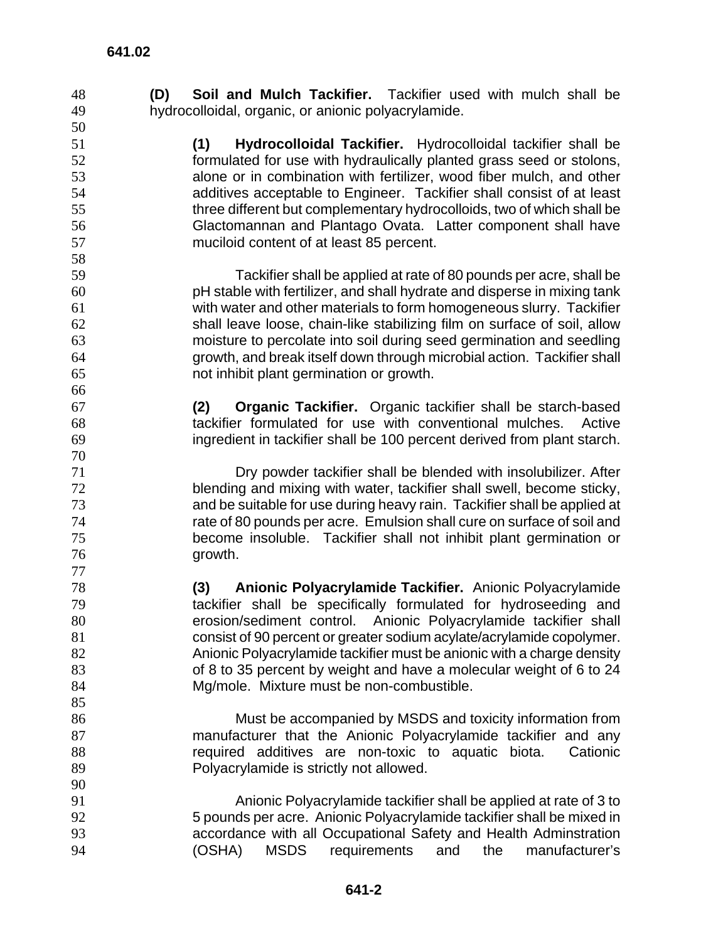**641.02** 

- **(D) Soil and Mulch Tackifier.** Tackifier used with mulch shall be hydrocolloidal, organic, or anionic polyacrylamide.
- **(1) Hydrocolloidal Tackifier.** Hydrocolloidal tackifier shall be formulated for use with hydraulically planted grass seed or stolons, alone or in combination with fertilizer, wood fiber mulch, and other additives acceptable to Engineer. Tackifier shall consist of at least three different but complementary hydrocolloids, two of which shall be Glactomannan and Plantago Ovata. Latter component shall have muciloid content of at least 85 percent.
- Tackifier shall be applied at rate of 80 pounds per acre, shall be pH stable with fertilizer, and shall hydrate and disperse in mixing tank with water and other materials to form homogeneous slurry. Tackifier shall leave loose, chain-like stabilizing film on surface of soil, allow moisture to percolate into soil during seed germination and seedling growth, and break itself down through microbial action. Tackifier shall not inhibit plant germination or growth.
- **(2) Organic Tackifier.** Organic tackifier shall be starch-based tackifier formulated for use with conventional mulches. Active ingredient in tackifier shall be 100 percent derived from plant starch.
- Dry powder tackifier shall be blended with insolubilizer. After blending and mixing with water, tackifier shall swell, become sticky, and be suitable for use during heavy rain. Tackifier shall be applied at rate of 80 pounds per acre. Emulsion shall cure on surface of soil and become insoluble. Tackifier shall not inhibit plant germination or growth.
- **(3) Anionic Polyacrylamide Tackifier.** Anionic Polyacrylamide tackifier shall be specifically formulated for hydroseeding and erosion/sediment control. Anionic Polyacrylamide tackifier shall consist of 90 percent or greater sodium acylate/acrylamide copolymer. Anionic Polyacrylamide tackifier must be anionic with a charge density 83 683 of 8 to 35 percent by weight and have a molecular weight of 6 to 24 Mg/mole. Mixture must be non-combustible.
- Must be accompanied by MSDS and toxicity information from manufacturer that the Anionic Polyacrylamide tackifier and any required additives are non-toxic to aquatic biota. Cationic Polyacrylamide is strictly not allowed.
- Anionic Polyacrylamide tackifier shall be applied at rate of 3 to 5 pounds per acre. Anionic Polyacrylamide tackifier shall be mixed in accordance with all Occupational Safety and Health Adminstration (OSHA) MSDS requirements and the manufacturer's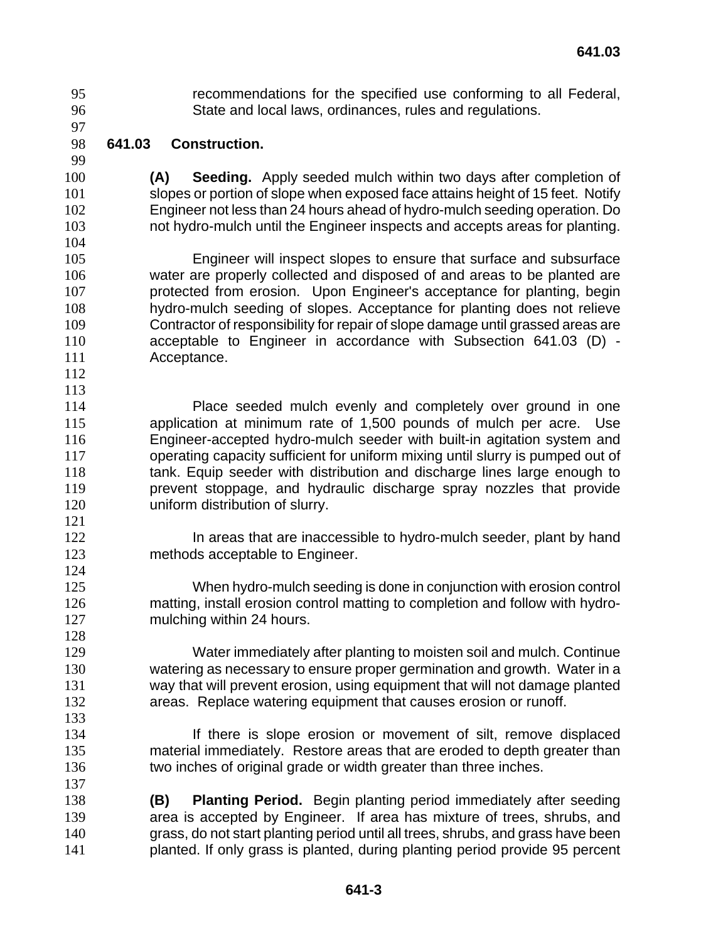recommendations for the specified use conforming to all Federal, State and local laws, ordinances, rules and regulations.

**641.03 Construction.**

**(A) Seeding.** Apply seeded mulch within two days after completion of slopes or portion of slope when exposed face attains height of 15 feet. Notify Engineer not less than 24 hours ahead of hydro-mulch seeding operation. Do not hydro-mulch until the Engineer inspects and accepts areas for planting. 

Engineer will inspect slopes to ensure that surface and subsurface water are properly collected and disposed of and areas to be planted are protected from erosion. Upon Engineer's acceptance for planting, begin hydro-mulch seeding of slopes. Acceptance for planting does not relieve Contractor of responsibility for repair of slope damage until grassed areas are acceptable to Engineer in accordance with Subsection 641.03 (D) - Acceptance.

 

Place seeded mulch evenly and completely over ground in one application at minimum rate of 1,500 pounds of mulch per acre. Use Engineer-accepted hydro-mulch seeder with built-in agitation system and operating capacity sufficient for uniform mixing until slurry is pumped out of 118 tank. Equip seeder with distribution and discharge lines large enough to prevent stoppage, and hydraulic discharge spray nozzles that provide uniform distribution of slurry.

122 In areas that are inaccessible to hydro-mulch seeder, plant by hand methods acceptable to Engineer.

When hydro-mulch seeding is done in conjunction with erosion control matting, install erosion control matting to completion and follow with hydro-mulching within 24 hours.

Water immediately after planting to moisten soil and mulch. Continue watering as necessary to ensure proper germination and growth. Water in a way that will prevent erosion, using equipment that will not damage planted areas. Replace watering equipment that causes erosion or runoff. 

If there is slope erosion or movement of silt, remove displaced material immediately. Restore areas that are eroded to depth greater than 136 two inches of original grade or width greater than three inches.

**(B) Planting Period.** Begin planting period immediately after seeding area is accepted by Engineer. If area has mixture of trees, shrubs, and grass, do not start planting period until all trees, shrubs, and grass have been planted. If only grass is planted, during planting period provide 95 percent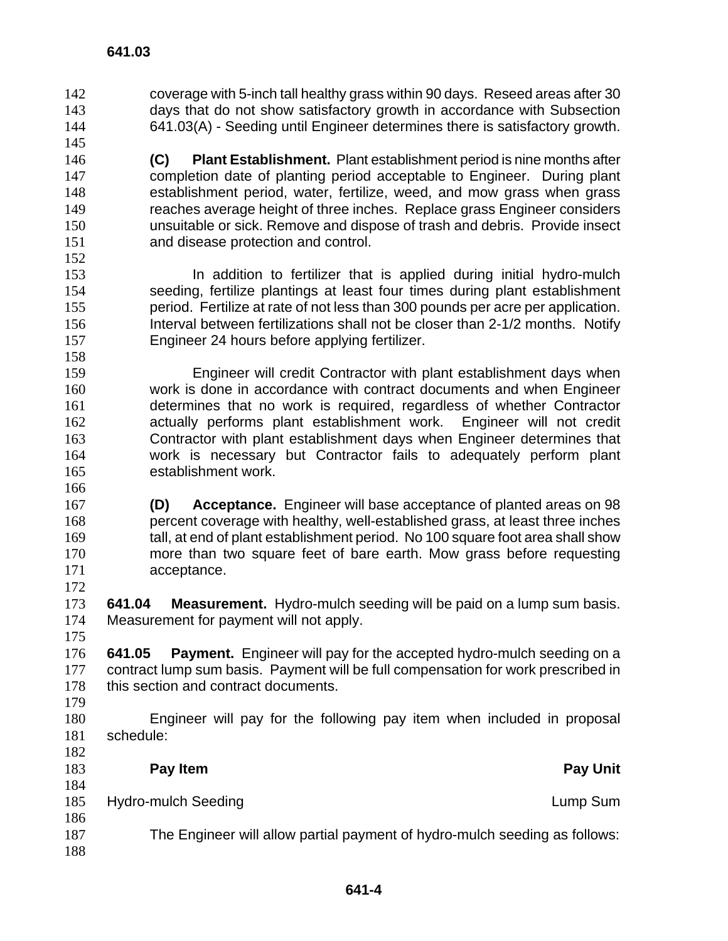**641.03** 

coverage with 5-inch tall healthy grass within 90 days. Reseed areas after 30 days that do not show satisfactory growth in accordance with Subsection 641.03(A) - Seeding until Engineer determines there is satisfactory growth.

**(C) Plant Establishment.** Plant establishment period is nine months after completion date of planting period acceptable to Engineer. During plant establishment period, water, fertilize, weed, and mow grass when grass reaches average height of three inches. Replace grass Engineer considers unsuitable or sick. Remove and dispose of trash and debris. Provide insect and disease protection and control.

- In addition to fertilizer that is applied during initial hydro-mulch seeding, fertilize plantings at least four times during plant establishment period. Fertilize at rate of not less than 300 pounds per acre per application. Interval between fertilizations shall not be closer than 2-1/2 months. Notify Engineer 24 hours before applying fertilizer.
- Engineer will credit Contractor with plant establishment days when work is done in accordance with contract documents and when Engineer determines that no work is required, regardless of whether Contractor actually performs plant establishment work. Engineer will not credit Contractor with plant establishment days when Engineer determines that work is necessary but Contractor fails to adequately perform plant establishment work.
- **(D) Acceptance.** Engineer will base acceptance of planted areas on 98 percent coverage with healthy, well-established grass, at least three inches 169 tall, at end of plant establishment period. No 100 square foot area shall show more than two square feet of bare earth. Mow grass before requesting acceptance.
- **641.04 Measurement.** Hydro-mulch seeding will be paid on a lump sum basis. Measurement for payment will not apply.
- **641.05 Payment.** Engineer will pay for the accepted hydro-mulch seeding on a contract lump sum basis. Payment will be full compensation for work prescribed in 178 this section and contract documents.
- 
- Engineer will pay for the following pay item when included in proposal schedule:

| 183<br>184 | Pay Item            | <b>Pay Unit</b>                                                            |
|------------|---------------------|----------------------------------------------------------------------------|
| 185        | Hydro-mulch Seeding | Lump Sum                                                                   |
| 186<br>187 |                     | The Engineer will allow partial payment of hydro-mulch seeding as follows: |
| 188        |                     |                                                                            |